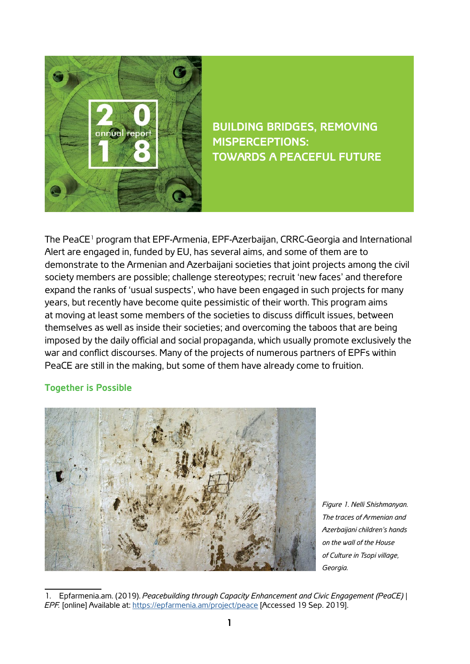

**BUILDING BRIDGES, REMOVING MISPERCEPTIONS: TOWARDS A PEACEFUL FUTURE**

The PeaCE<sup>1</sup> program that EPF-Armenia, EPF-Azerbaijan, CRRC-Georgia and International Alert are engaged in, funded by EU, has several aims, and some of them are to demonstrate to the Armenian and Azerbaijani societies that joint projects among the civil society members are possible; challenge stereotypes; recruit 'new faces' and therefore expand the ranks of 'usual suspects', who have been engaged in such projects for many years, but recently have become quite pessimistic of their worth. This program aims at moving at least some members of the societies to discuss difficult issues, between themselves as well as inside their societies; and overcoming the taboos that are being imposed by the daily official and social propaganda, which usually promote exclusively the war and conflict discourses. Many of the projects of numerous partners of EPFs within PeaCE are still in the making, but some of them have already come to fruition.

## **Together is Possible**



*Figure 1. Nelli Shishmanyan. The traces of Armenian and Azerbaijani children's hands on the wall of the House of Culture in Tsopi village, Georgia.*

<sup>1.</sup> Epfarmenia.am. (2019). *Peacebuilding through Capacity Enhancement and Civic Engagement (PeaCE)* | *EPF.* [online] Available at: <https://epfarmenia.am/project/peace> [Accessed 19 Sep. 2019].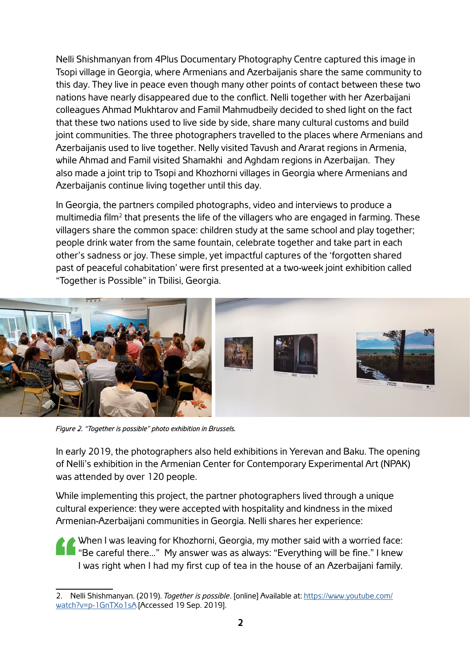Nelli Shishmanyan from 4Plus Documentary Photography Centre captured this image in Tsopi village in Georgia, where Armenians and Azerbaijanis share the same community to this day. They live in peace even though many other points of contact between these two nations have nearly disappeared due to the conflict. Nelli together with her Azerbaijani colleagues Ahmad Mukhtarov and Famil Mahmudbeily decided to shed light on the fact that these two nations used to live side by side, share many cultural customs and build joint communities. The three photographers travelled to the places where Armenians and Azerbaijanis used to live together. Nelly visited Tavush and Ararat regions in Armenia, while Ahmad and Famil visited Shamakhi and Aghdam regions in Azerbaijan. They also made a joint trip to Tsopi and Khozhorni villages in Georgia where Armenians and Azerbaijanis continue living together until this day.

In Georgia, the partners compiled photographs, video and interviews to produce a multimedia film<sup>2</sup> that presents the life of the villagers who are engaged in farming. These villagers share the common space: children study at the same school and play together; people drink water from the same fountain, celebrate together and take part in each other's sadness or joy. These simple, yet impactful captures of the 'forgotten shared past of peaceful cohabitation' were first presented at a two-week joint exhibition called "Together is Possible" in Tbilisi, Georgia.



Figure 2. "Together is possible" photo exhibition in Brussels.

In early 2019, the photographers also held exhibitions in Yerevan and Baku. The opening of Nelli's exhibition in the Armenian Center for Contemporary Experimental Art (NPAK) was attended by over 120 people.

While implementing this project, the partner photographers lived through a unique cultural experience: they were accepted with hospitality and kindness in the mixed Armenian-Azerbaijani communities in Georgia. Nelli shares her experience:

When I was leaving for Khozhorni, Georgia, my mother said with a worried face: "Be careful there…" My answer was as always: "Everything will be fine." I knew I was right when I had my first cup of tea in the house of an Azerbaijani family.

<sup>2.</sup> Nelli Shishmanyan. (2019). *Together is possible*. [online] Available at: [https://www.youtube.com/](https://www.youtube.com/watch?v=p-1GnTXo1sA) [watch?v=p-1GnTXo1sA](https://www.youtube.com/watch?v=p-1GnTXo1sA) [Accessed 19 Sep. 2019].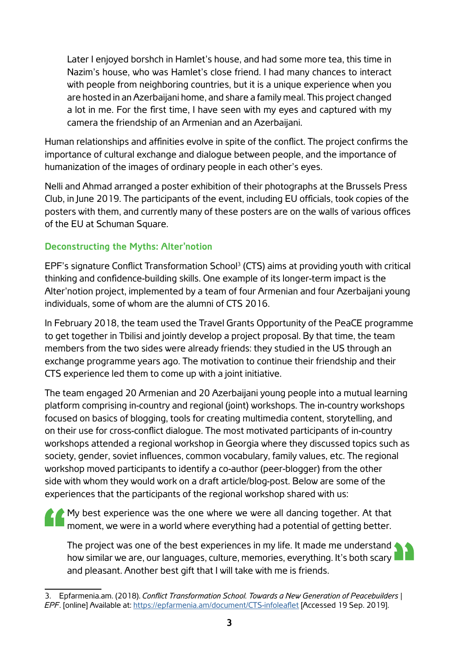Later I enjoyed borshch in Hamlet's house, and had some more tea, this time in Nazim's house, who was Hamlet's close friend. I had many chances to interact with people from neighboring countries, but it is a unique experience when you are hosted in an Azerbaijani home, and share a family meal. This project changed a lot in me. For the first time, I have seen with my eyes and captured with my camera the friendship of an Armenian and an Azerbaijani.

Human relationships and affinities evolve in spite of the conflict. The project confirms the importance of cultural exchange and dialogue between people, and the importance of humanization of the images of ordinary people in each other's eyes.

Nelli and Ahmad arranged a poster exhibition of their photographs at the Brussels Press Club, in June 2019. The participants of the event, including EU officials, took copies of the posters with them, and currently many of these posters are on the walls of various offices of the EU at Schuman Square.

## **Deconstructing the Myths: Alter'notion**

EPF's signature Conflict Transformation School3 (CTS) aims at providing youth with critical thinking and confidence-building skills. One example of its longer-term impact is the Alter'notion project, implemented by a team of four Armenian and four Azerbaijani young individuals, some of whom are the alumni of CTS 2016.

In February 2018, the team used the Travel Grants Opportunity of the PeaCE programme to get together in Tbilisi and jointly develop a project proposal. By that time, the team members from the two sides were already friends: they studied in the US through an exchange programme years ago. The motivation to continue their friendship and their CTS experience led them to come up with a joint initiative.

The team engaged 20 Armenian and 20 Azerbaijani young people into a mutual learning platform comprising in-country and regional (joint) workshops. The in-country workshops focused on basics of blogging, tools for creating multimedia content, storytelling, and on their use for cross-conflict dialogue. The most motivated participants of in-country workshops attended a regional workshop in Georgia where they discussed topics such as society, gender, soviet influences, common vocabulary, family values, etc. The regional workshop moved participants to identify a co-author (peer-blogger) from the other side with whom they would work on a draft article/blog-post. Below are some of the experiences that the participants of the regional workshop shared with us:

My best experience was the one where we were all dancing together. At that moment, we were in a world where everything had a potential of getting better.

The project was one of the best experiences in my life. It made me understand how similar we are, our languages, culture, memories, everything. It's both scary and pleasant. Another best gift that I will take with me is friends.

<sup>3.</sup> Epfarmenia.am. (2018). *Conflict Transformation School. Towards a New Generation of Peacebuilders* | *EPF*. [online] Available at: <https://epfarmenia.am/document/CTS-infoleaflet> [Accessed 19 Sep. 2019].